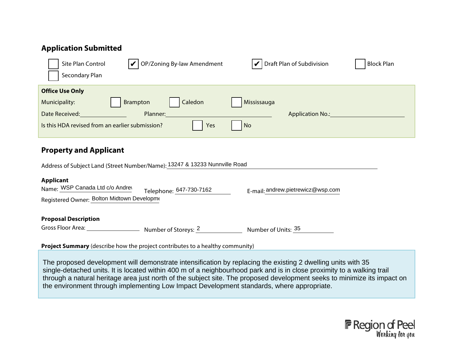| <b>Application Submitted</b>                                                                                 |                                        |                                                             |                   |  |
|--------------------------------------------------------------------------------------------------------------|----------------------------------------|-------------------------------------------------------------|-------------------|--|
| Site Plan Control<br>Secondary Plan                                                                          | OP/Zoning By-law Amendment             | $\vert \blacktriangleright \vert$ Draft Plan of Subdivision | <b>Block Plan</b> |  |
| <b>Office Use Only</b><br>Municipality:<br>Date Received:<br>Is this HDA revised from an earlier submission? | Caledon<br>Brampton<br>Planner:<br>Yes | Mississauga<br><b>Application No.:</b><br>No                |                   |  |
|                                                                                                              |                                        |                                                             |                   |  |

## **Property and Applicant**

|                                                                                                   | Address of Subject Land (Street Number/Name): 13247 & 13233 Nunnville Road |                                      |
|---------------------------------------------------------------------------------------------------|----------------------------------------------------------------------------|--------------------------------------|
| <b>Applicant</b><br>Name: WSP Canada Ltd c/o Andrey<br>Registered Owner: Bolton Midtown Developme | Telephone: 647-730-7162                                                    | $E-mail$ : andrew.pietrewicz@wsp.com |
| <b>Proposal Description</b><br>Gross Floor Area:                                                  | Number of Storeys: 2                                                       | Number of Units: 35                  |

**Project Summary** (describe how the project contributes to a healthy community)

The proposed development will demonstrate intensification by replacing the existing 2 dwelling units with 35 single-detached units. It is located within 400 m of a neighbourhood park and is in close proximity to a walking trail through a natural heritage area just north of the subject site. The proposed development seeks to minimize its impact on the environment through implementing Low Impact Development standards, where appropriate.

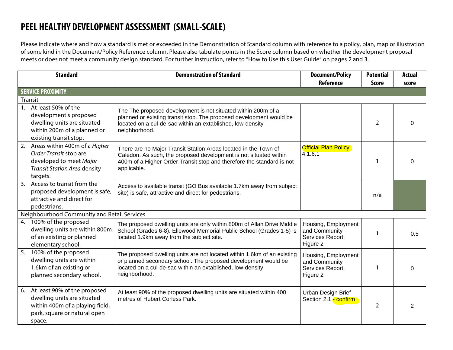## **PEEL HEALTHY DEVELOPMENT ASSESSMENT (SMALL-SCALE)**

Please indicate where and how a standard is met or exceeded in the Demonstration of Standard column with reference to a policy, plan, map or illustration of some kind in the Document/Policy Reference column. Please also tabulate points in the Score column based on whether the development proposal meets or does not meet a community design standard. For further instruction, refer to "How to Use this User Guide" on pages 2 and 3.

|                                             | <b>Standard</b>                                                                                                                             | <b>Demonstration of Standard</b>                                                                                                                                                                                             | <b>Document/Policy</b><br><b>Reference</b>                           | <b>Potential</b><br><b>Score</b> | Actual<br>score |
|---------------------------------------------|---------------------------------------------------------------------------------------------------------------------------------------------|------------------------------------------------------------------------------------------------------------------------------------------------------------------------------------------------------------------------------|----------------------------------------------------------------------|----------------------------------|-----------------|
|                                             | <b>SERVICE PROXIMITY</b>                                                                                                                    |                                                                                                                                                                                                                              |                                                                      |                                  |                 |
|                                             | Transit                                                                                                                                     |                                                                                                                                                                                                                              |                                                                      |                                  |                 |
| 1.                                          | At least 50% of the<br>development's proposed<br>dwelling units are situated<br>within 200m of a planned or<br>existing transit stop.       | The The proposed development is not situated within 200m of a<br>planned or existing transit stop. The proposed development would be<br>located on a cul-de-sac within an extablished, low-density<br>neighborhood.          |                                                                      | $\overline{2}$                   |                 |
|                                             | 2. Areas within 400m of a Higher<br>Order Transit stop are<br>developed to meet Major<br><b>Transit Station Area density</b><br>targets.    | There are no Major Transit Station Areas located in the Town of<br>Caledon. As such, the proposed development is not situated within<br>400m of a Higher Order Transit stop and therefore the standard is not<br>applicable. | <b>Official Plan Policy</b><br>4.1.6.1                               |                                  | n               |
|                                             | 3. Access to transit from the<br>proposed development is safe,<br>attractive and direct for<br>pedestrians.                                 | Access to available transit (GO Bus available 1.7km away from subject<br>site) is safe, attractive and direct for pedestrians.                                                                                               |                                                                      | n/a                              |                 |
| Neighbourhood Community and Retail Services |                                                                                                                                             |                                                                                                                                                                                                                              |                                                                      |                                  |                 |
|                                             | 4. 100% of the proposed<br>dwelling units are within 800m<br>of an existing or planned<br>elementary school.                                | The proposed dwelling units are only within 800m of Allan Drive Middle<br>School (Grades 6-8). Ellewood Memorial Public School (Grades 1-5) is<br>located 1.9km away from the subject site.                                  | Housing, Employment<br>and Community<br>Services Report,<br>Figure 2 |                                  | 0.5             |
|                                             | 5. 100% of the proposed<br>dwelling units are within<br>1.6km of an existing or<br>planned secondary school.                                | The proposed dwelling units are not located within 1.6km of an existing<br>or planned secondary school. The proposed development would be<br>located on a cul-de-sac within an extablished, low-density<br>neighborhood.     | Housing, Employment<br>and Community<br>Services Report,<br>Figure 2 |                                  | O               |
|                                             | 6. At least 90% of the proposed<br>dwelling units are situated<br>within 400m of a playing field,<br>park, square or natural open<br>space. | At least 90% of the proposed dwelling units are situated within 400<br>metres of Hubert Corless Park.                                                                                                                        | Urban Design Brief<br>Section 2.1 - confirm                          | $\overline{2}$                   | 2               |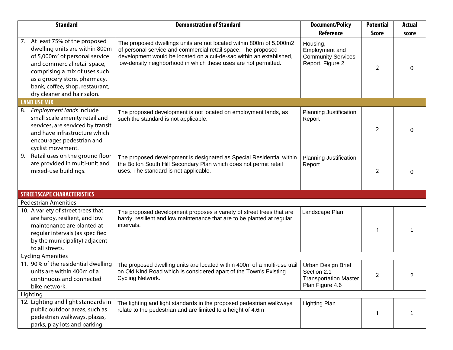| <b>Standard</b>                                                                                                                                                                                                                                                                     | <b>Demonstration of Standard</b>                                                                                                                                                                                                                                               | <b>Document/Policy</b>                                                                          | <b>Potential</b>  | <b>Actual</b> |
|-------------------------------------------------------------------------------------------------------------------------------------------------------------------------------------------------------------------------------------------------------------------------------------|--------------------------------------------------------------------------------------------------------------------------------------------------------------------------------------------------------------------------------------------------------------------------------|-------------------------------------------------------------------------------------------------|-------------------|---------------|
| 7. At least 75% of the proposed<br>dwelling units are within 800m<br>of 5,000m <sup>2</sup> of personal service<br>and commercial retail space,<br>comprising a mix of uses such<br>as a grocery store, pharmacy,<br>bank, coffee, shop, restaurant,<br>dry cleaner and hair salon. | The proposed dwellings units are not located within 800m of 5,000m2<br>of personal service and commercial retail space. The proposed<br>development would be located on a cul-de-sac within an extablished,<br>low-density neighborhood in which these uses are not permitted. | <b>Reference</b><br>Housing,<br>Employment and<br><b>Community Services</b><br>Report, Figure 2 | <b>Score</b><br>2 | score         |
| <b>LAND USE MIX</b>                                                                                                                                                                                                                                                                 |                                                                                                                                                                                                                                                                                |                                                                                                 |                   |               |
| Employment lands include<br>8.<br>small scale amenity retail and<br>services, are serviced by transit<br>and have infrastructure which<br>encourages pedestrian and<br>cyclist movement.                                                                                            | The proposed development is not located on employment lands, as<br>such the standard is not applicable.                                                                                                                                                                        | <b>Planning Justification</b><br>Report                                                         | 2                 |               |
| 9. Retail uses on the ground floor<br>are provided in multi-unit and<br>mixed-use buildings.                                                                                                                                                                                        | The proposed development is designated as Special Residential within<br>the Bolton South Hill Secondary Plan which does not permit retail<br>uses. The standard is not applicable.                                                                                             | <b>Planning Justification</b><br>Report                                                         | 2                 | 0             |
| <b>STREETSCAPE CHARACTERISTICS</b>                                                                                                                                                                                                                                                  |                                                                                                                                                                                                                                                                                |                                                                                                 |                   |               |
| <b>Pedestrian Amenities</b>                                                                                                                                                                                                                                                         |                                                                                                                                                                                                                                                                                |                                                                                                 |                   |               |
| 10. A variety of street trees that<br>are hardy, resilient, and low<br>maintenance are planted at<br>regular intervals (as specified<br>by the municipality) adjacent<br>to all streets.                                                                                            | The proposed development proposes a variety of street trees that are<br>hardy, resilient and low maintenance that are to be planted at regular<br>intervals.                                                                                                                   | Landscape Plan                                                                                  |                   |               |
| <b>Cycling Amenities</b>                                                                                                                                                                                                                                                            |                                                                                                                                                                                                                                                                                |                                                                                                 |                   |               |
| 11. 90% of the residential dwelling<br>units are within 400m of a<br>continuous and connected<br>bike network.                                                                                                                                                                      | The proposed dwelling units are located within 400m of a multi-use trail<br>on Old Kind Road which is considered apart of the Town's Existing<br>Cycling Network.                                                                                                              | Urban Design Brief<br>Section 2.1<br><b>Transportation Master</b><br>Plan Figure 4.6            | 2                 |               |
| Lighting                                                                                                                                                                                                                                                                            |                                                                                                                                                                                                                                                                                |                                                                                                 |                   |               |
| 12. Lighting and light standards in<br>public outdoor areas, such as<br>pedestrian walkways, plazas,<br>parks, play lots and parking                                                                                                                                                | The lighting and light standards in the proposed pedestrian walkways<br>relate to the pedestrian and are limited to a height of 4.6m                                                                                                                                           | <b>Lighting Plan</b>                                                                            |                   |               |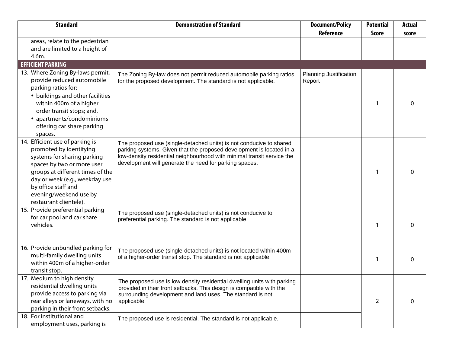|                                                                                                                                                                                                                                                                          |                                                                                                                                                                                                                                                                                                  | Reference                               | <b>Score</b> | <b>Actual</b><br>score |
|--------------------------------------------------------------------------------------------------------------------------------------------------------------------------------------------------------------------------------------------------------------------------|--------------------------------------------------------------------------------------------------------------------------------------------------------------------------------------------------------------------------------------------------------------------------------------------------|-----------------------------------------|--------------|------------------------|
| areas, relate to the pedestrian<br>and are limited to a height of<br>4.6m.                                                                                                                                                                                               |                                                                                                                                                                                                                                                                                                  |                                         |              |                        |
| <b>EFFICIENT PARKING</b>                                                                                                                                                                                                                                                 |                                                                                                                                                                                                                                                                                                  |                                         |              |                        |
| 13. Where Zoning By-laws permit,<br>provide reduced automobile<br>parking ratios for:<br>• buildings and other facilities<br>within 400m of a higher<br>order transit stops; and,<br>• apartments/condominiums<br>offering car share parking<br>spaces.                  | The Zoning By-law does not permit reduced automobile parking ratios<br>for the proposed development. The standard is not applicable.                                                                                                                                                             | <b>Planning Justification</b><br>Report |              | 0                      |
| 14. Efficient use of parking is<br>promoted by identifying<br>systems for sharing parking<br>spaces by two or more user<br>groups at different times of the<br>day or week (e.g., weekday use<br>by office staff and<br>evening/weekend use by<br>restaurant clientele). | The proposed use (single-detached units) is not conducive to shared<br>parking systems. Given that the proposed development is located in a<br>low-density residential neighbourhood with minimal transit service the<br>development will generate the need for parking spaces.                  |                                         |              | 0                      |
| 15. Provide preferential parking<br>for car pool and car share<br>vehicles.                                                                                                                                                                                              | The proposed use (single-detached units) is not conducive to<br>preferential parking. The standard is not applicable.                                                                                                                                                                            |                                         |              | 0                      |
| 16. Provide unbundled parking for<br>multi-family dwelling units<br>within 400m of a higher-order<br>transit stop.                                                                                                                                                       | The proposed use (single-detached units) is not located within 400m<br>of a higher-order transit stop. The standard is not applicable.                                                                                                                                                           |                                         |              | 0                      |
| 17. Medium to high density<br>residential dwelling units<br>provide access to parking via<br>rear alleys or laneways, with no<br>parking in their front setbacks.<br>18. For institutional and                                                                           | The proposed use is low density residential dwelling units with parking<br>provided in their front setbacks. This design is compatible with the<br>surrounding development and land uses. The standard is not<br>applicable.<br>The proposed use is residential. The standard is not applicable. |                                         | 2            | 0                      |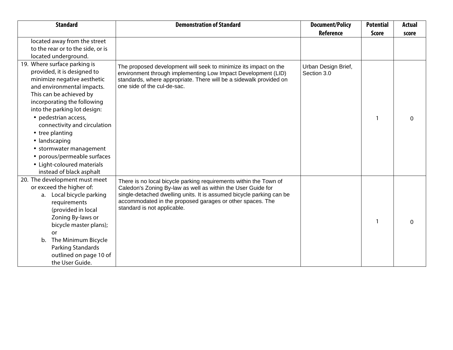| <b>Standard</b>                   | <b>Demonstration of Standard</b>                                                         | <b>Document/Policy</b> | <b>Potential</b> | <b>Actual</b> |
|-----------------------------------|------------------------------------------------------------------------------------------|------------------------|------------------|---------------|
|                                   |                                                                                          | <b>Reference</b>       | <b>Score</b>     | score         |
| located away from the street      |                                                                                          |                        |                  |               |
| to the rear or to the side, or is |                                                                                          |                        |                  |               |
| located underground.              |                                                                                          |                        |                  |               |
| 19. Where surface parking is      | The proposed development will seek to minimize its impact on the                         | Urban Design Brief,    |                  |               |
| provided, it is designed to       | environment through implementing Low Impact Development (LID)                            | Section 3.0            |                  |               |
| minimize negative aesthetic       | standards, where appropriate. There will be a sidewalk provided on                       |                        |                  |               |
| and environmental impacts.        | one side of the cul-de-sac.                                                              |                        |                  |               |
| This can be achieved by           |                                                                                          |                        |                  |               |
| incorporating the following       |                                                                                          |                        |                  |               |
| into the parking lot design:      |                                                                                          |                        |                  |               |
| • pedestrian access,              |                                                                                          |                        |                  |               |
| connectivity and circulation      |                                                                                          |                        |                  |               |
| • tree planting                   |                                                                                          |                        |                  |               |
| • landscaping                     |                                                                                          |                        |                  |               |
| • stormwater management           |                                                                                          |                        |                  |               |
| • porous/permeable surfaces       |                                                                                          |                        |                  |               |
| • Light-coloured materials        |                                                                                          |                        |                  |               |
| instead of black asphalt          |                                                                                          |                        |                  |               |
| 20. The development must meet     | There is no local bicycle parking requirements within the Town of                        |                        |                  |               |
| or exceed the higher of:          | Caledon's Zoning By-law as well as within the User Guide for                             |                        |                  |               |
| a. Local bicycle parking          | single-detached dwelling units. It is assumed bicycle parking can be                     |                        |                  |               |
| requirements                      | accommodated in the proposed garages or other spaces. The<br>standard is not applicable. |                        |                  |               |
| (provided in local                |                                                                                          |                        |                  |               |
| Zoning By-laws or                 |                                                                                          |                        |                  | 0             |
| bicycle master plans);            |                                                                                          |                        |                  |               |
| or                                |                                                                                          |                        |                  |               |
| The Minimum Bicycle<br>b.         |                                                                                          |                        |                  |               |
| Parking Standards                 |                                                                                          |                        |                  |               |
| outlined on page 10 of            |                                                                                          |                        |                  |               |
| the User Guide.                   |                                                                                          |                        |                  |               |